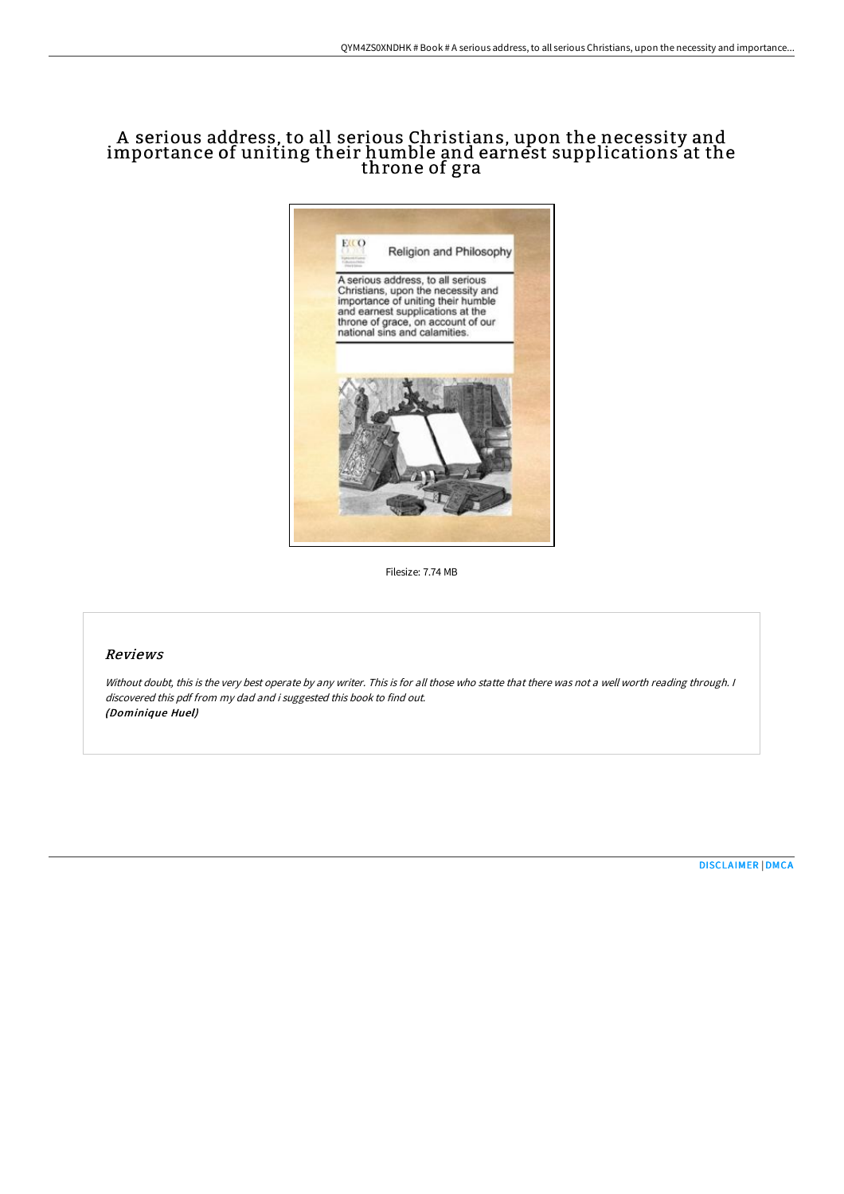## A serious address, to all serious Christians, upon the necessity and importance of uniting their humble and earnest supplications at the throne of gra



Filesize: 7.74 MB

## Reviews

Without doubt, this is the very best operate by any writer. This is for all those who statte that there was not <sup>a</sup> well worth reading through. <sup>I</sup> discovered this pdf from my dad and i suggested this book to find out. (Dominique Huel)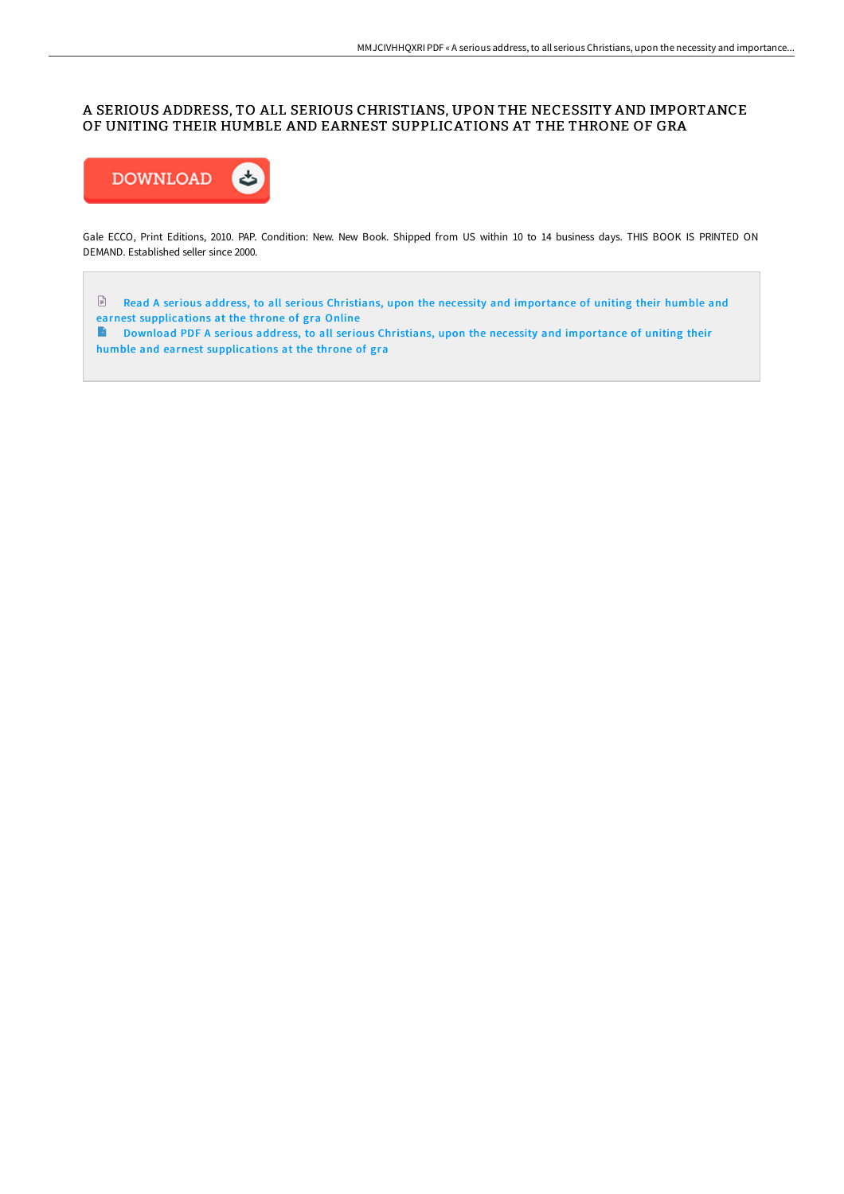## A SERIOUS ADDRESS, TO ALL SERIOUS CHRISTIANS, UPON THE NECESSITY AND IMPORTANCE OF UNITING THEIR HUMBLE AND EARNEST SUPPLICATIONS AT THE THRONE OF GRA



Gale ECCO, Print Editions, 2010. PAP. Condition: New. New Book. Shipped from US within 10 to 14 business days. THIS BOOK IS PRINTED ON DEMAND. Established seller since 2000.

Read A serious address, to all serious Christians, upon the necessity and importance of uniting their humble and earnest [supplications](http://techno-pub.tech/a-serious-address-to-all-serious-christians-upon.html) at the throne of gra Online

Download PDF A serious address, to all serious Christians, upon the necessity and importance of uniting their humble and earnest [supplications](http://techno-pub.tech/a-serious-address-to-all-serious-christians-upon.html) at the throne of gra